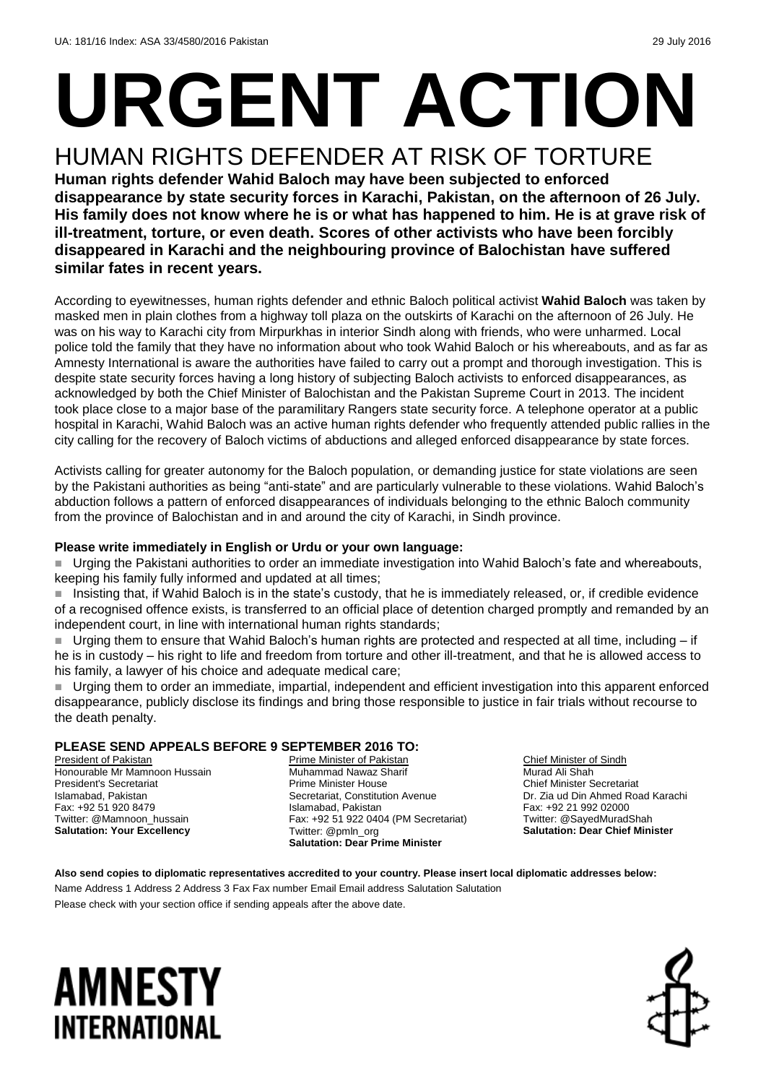# **URGENT ACTION** HUMAN RIGHTS DEFENDER AT RISK OF TORTURE

**Human rights defender Wahid Baloch may have been subjected to enforced disappearance by state security forces in Karachi, Pakistan, on the afternoon of 26 July. His family does not know where he is or what has happened to him. He is at grave risk of ill-treatment, torture, or even death. Scores of other activists who have been forcibly disappeared in Karachi and the neighbouring province of Balochistan have suffered similar fates in recent years.**

According to eyewitnesses, human rights defender and ethnic Baloch political activist **Wahid Baloch** was taken by masked men in plain clothes from a highway toll plaza on the outskirts of Karachi on the afternoon of 26 July. He was on his way to Karachi city from Mirpurkhas in interior Sindh along with friends, who were unharmed. Local police told the family that they have no information about who took Wahid Baloch or his whereabouts, and as far as Amnesty International is aware the authorities have failed to carry out a prompt and thorough investigation. This is despite state security forces having a long history of subjecting Baloch activists to enforced disappearances, as acknowledged by both the Chief Minister of Balochistan and the Pakistan Supreme Court in 2013. The incident took place close to a major base of the paramilitary Rangers state security force. A telephone operator at a public hospital in Karachi, Wahid Baloch was an active human rights defender who frequently attended public rallies in the city calling for the recovery of Baloch victims of abductions and alleged enforced disappearance by state forces.

Activists calling for greater autonomy for the Baloch population, or demanding justice for state violations are seen by the Pakistani authorities as being "anti-state" and are particularly vulnerable to these violations. Wahid Baloch's abduction follows a pattern of enforced disappearances of individuals belonging to the ethnic Baloch community from the province of Balochistan and in and around the city of Karachi, in Sindh province.

#### **Please write immediately in English or Urdu or your own language:**

 Urging the Pakistani authorities to order an immediate investigation into Wahid Baloch's fate and whereabouts, keeping his family fully informed and updated at all times;

■ Insisting that, if Wahid Baloch is in the state's custody, that he is immediately released, or, if credible evidence of a recognised offence exists, is transferred to an official place of detention charged promptly and remanded by an independent court, in line with international human rights standards;

■ Urging them to ensure that Wahid Baloch's human rights are protected and respected at all time, including – if he is in custody – his right to life and freedom from torture and other ill-treatment, and that he is allowed access to his family, a lawyer of his choice and adequate medical care;

 Urging them to order an immediate, impartial, independent and efficient investigation into this apparent enforced disappearance, publicly disclose its findings and bring those responsible to justice in fair trials without recourse to the death penalty.

#### **PLEASE SEND APPEALS BEFORE 9 SEPTEMBER 2016 TO:**

President of Pakistan Honourable Mr Mamnoon Hussain President's Secretariat Islamabad, Pakistan Fax: +92 51 920 8479 Twitter: @Mamnoon\_hussain **Salutation: Your Excellency**

Prime Minister of Pakistan Muhammad Nawaz Sharif Prime Minister House Secretariat, Constitution Avenue Islamabad, Pakistan Fax: +92 51 922 0404 (PM Secretariat) Twitter: @pmln\_org **Salutation: Dear Prime Minister**

Chief Minister of Sindh Murad Ali Shah Chief Minister Secretariat Dr. Zia ud Din Ahmed Road Karachi Fax: +92 21 992 02000 Twitter: @SayedMuradShah **Salutation: Dear Chief Minister**

**Also send copies to diplomatic representatives accredited to your country. Please insert local diplomatic addresses below:** Name Address 1 Address 2 Address 3 Fax Fax number Email Email address Salutation Salutation Please check with your section office if sending appeals after the above date.